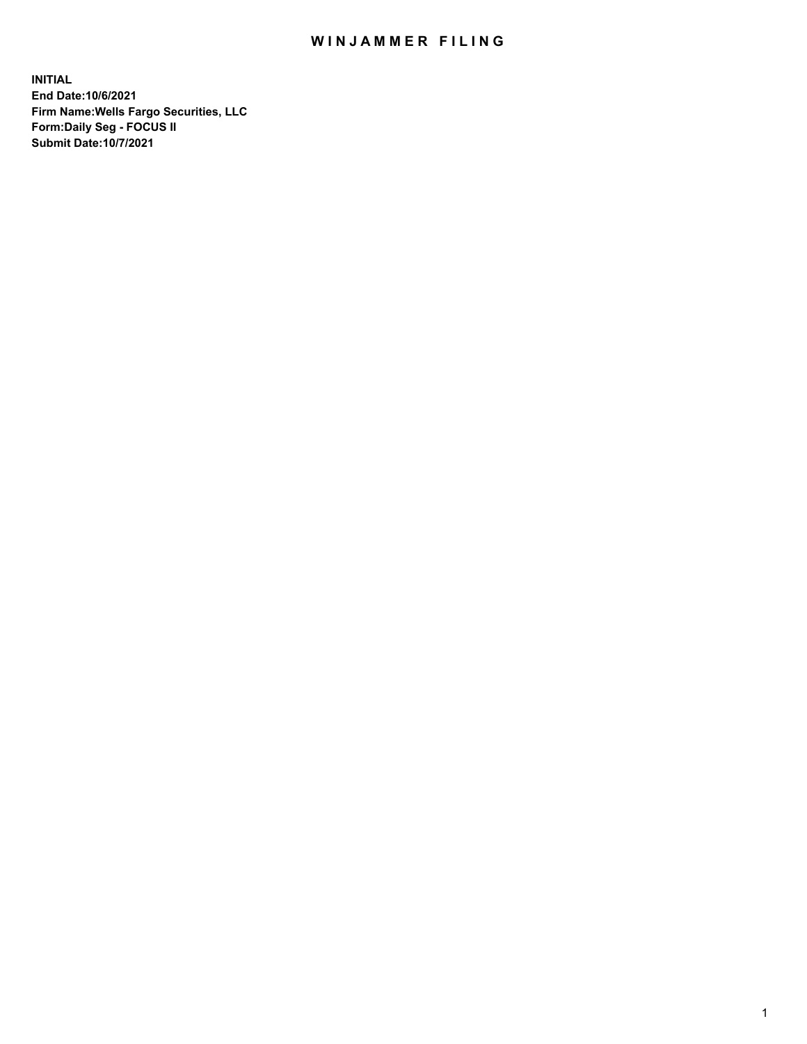## WIN JAMMER FILING

**INITIAL End Date:10/6/2021 Firm Name:Wells Fargo Securities, LLC Form:Daily Seg - FOCUS II Submit Date:10/7/2021**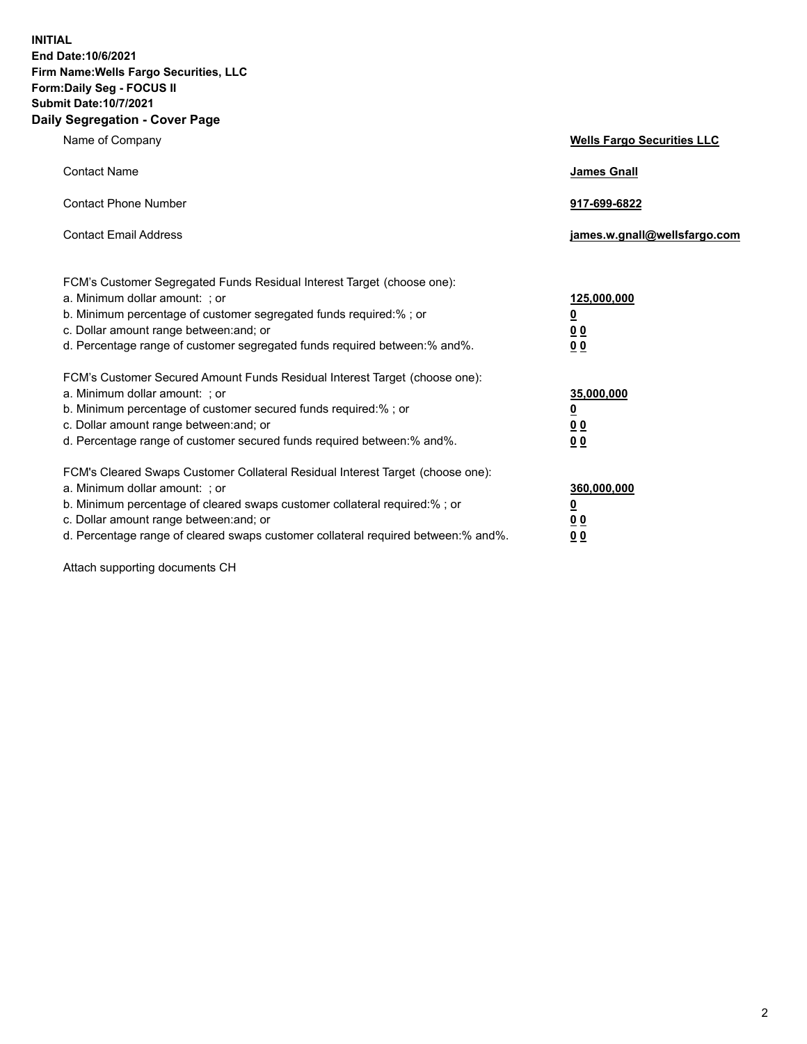**INITIAL End Date:10/6/2021 Firm Name:Wells Fargo Securities, LLC Form:Daily Seg - FOCUS II Submit Date:10/7/2021 Daily Segregation - Cover Page**

| Name of Company                                                                                                                                                                                                                                                                                                                | <b>Wells Fargo Securities LLC</b>                          |
|--------------------------------------------------------------------------------------------------------------------------------------------------------------------------------------------------------------------------------------------------------------------------------------------------------------------------------|------------------------------------------------------------|
| <b>Contact Name</b>                                                                                                                                                                                                                                                                                                            | <b>James Gnall</b>                                         |
| <b>Contact Phone Number</b>                                                                                                                                                                                                                                                                                                    | 917-699-6822                                               |
| <b>Contact Email Address</b>                                                                                                                                                                                                                                                                                                   | james.w.gnall@wellsfargo.com                               |
| FCM's Customer Segregated Funds Residual Interest Target (choose one):<br>a. Minimum dollar amount: ; or<br>b. Minimum percentage of customer segregated funds required:% ; or<br>c. Dollar amount range between: and; or<br>d. Percentage range of customer segregated funds required between:% and%.                         | 125,000,000<br><u>0</u><br>0 <sub>0</sub><br>00            |
| FCM's Customer Secured Amount Funds Residual Interest Target (choose one):<br>a. Minimum dollar amount: ; or<br>b. Minimum percentage of customer secured funds required:%; or<br>c. Dollar amount range between: and; or<br>d. Percentage range of customer secured funds required between:% and%.                            | 35,000,000<br><u>0</u><br>0 <sub>0</sub><br>0 <sub>0</sub> |
| FCM's Cleared Swaps Customer Collateral Residual Interest Target (choose one):<br>a. Minimum dollar amount: ; or<br>b. Minimum percentage of cleared swaps customer collateral required:% ; or<br>c. Dollar amount range between: and; or<br>d. Percentage range of cleared swaps customer collateral required between:% and%. | 360,000,000<br><u>0</u><br>00<br>00                        |

Attach supporting documents CH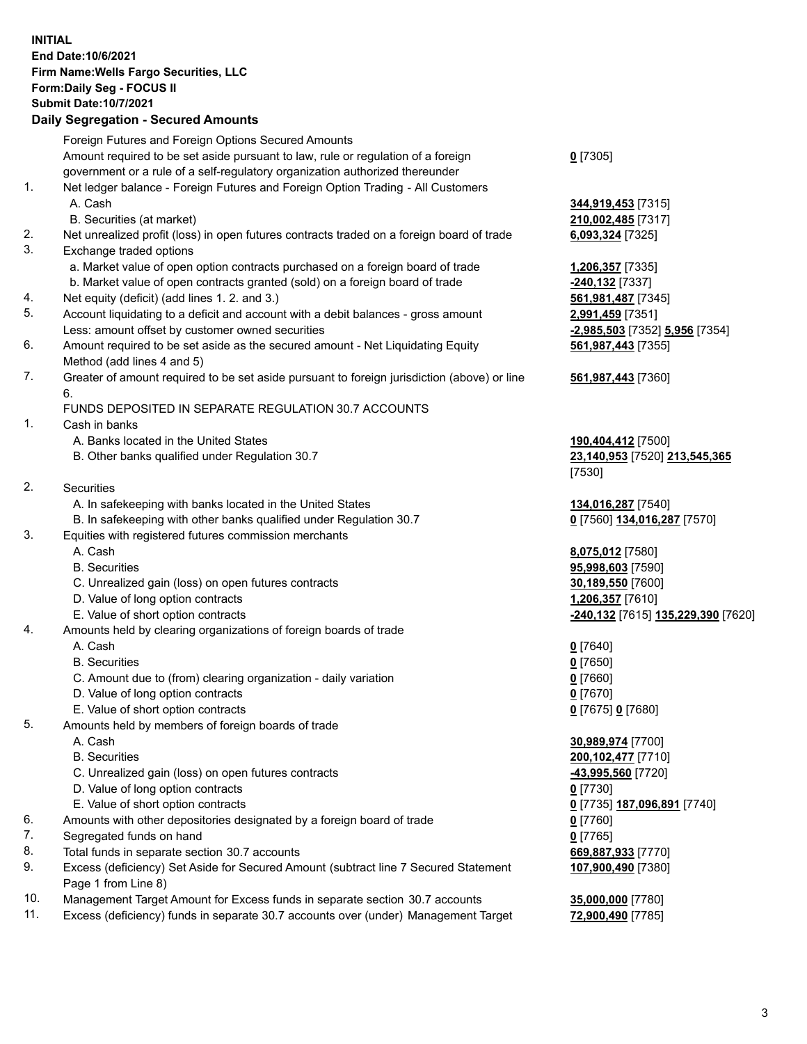**INITIAL End Date:10/6/2021 Firm Name:Wells Fargo Securities, LLC Form:Daily Seg - FOCUS II Submit Date:10/7/2021**

## **Daily Segregation - Secured Amounts**

|    | Foreign Futures and Foreign Options Secured Amounts                                         |                                    |
|----|---------------------------------------------------------------------------------------------|------------------------------------|
|    | Amount required to be set aside pursuant to law, rule or regulation of a foreign            | $0$ [7305]                         |
|    | government or a rule of a self-regulatory organization authorized thereunder                |                                    |
| 1. | Net ledger balance - Foreign Futures and Foreign Option Trading - All Customers             |                                    |
|    | A. Cash                                                                                     | 344,919,453 [7315]                 |
|    | B. Securities (at market)                                                                   | 210,002,485 [7317]                 |
| 2. | Net unrealized profit (loss) in open futures contracts traded on a foreign board of trade   | 6,093,324 [7325]                   |
| 3. | Exchange traded options                                                                     |                                    |
|    | a. Market value of open option contracts purchased on a foreign board of trade              | 1,206,357 [7335]                   |
|    | b. Market value of open contracts granted (sold) on a foreign board of trade                | -240,132 [7337]                    |
| 4. | Net equity (deficit) (add lines 1. 2. and 3.)                                               | 561,981,487 [7345]                 |
| 5. | Account liquidating to a deficit and account with a debit balances - gross amount           | 2,991,459 [7351]                   |
|    | Less: amount offset by customer owned securities                                            | -2,985,503 [7352] 5,956 [7354]     |
| 6. | Amount required to be set aside as the secured amount - Net Liquidating Equity              | 561,987,443 [7355]                 |
|    | Method (add lines 4 and 5)                                                                  |                                    |
| 7. | Greater of amount required to be set aside pursuant to foreign jurisdiction (above) or line | 561,987,443 [7360]                 |
|    | 6.                                                                                          |                                    |
|    | FUNDS DEPOSITED IN SEPARATE REGULATION 30.7 ACCOUNTS                                        |                                    |
| 1. | Cash in banks                                                                               |                                    |
|    | A. Banks located in the United States                                                       | 190,404,412 [7500]                 |
|    | B. Other banks qualified under Regulation 30.7                                              | 23,140,953 [7520] 213,545,365      |
|    |                                                                                             | [7530]                             |
| 2. | Securities                                                                                  |                                    |
|    | A. In safekeeping with banks located in the United States                                   | 134,016,287 [7540]                 |
|    | B. In safekeeping with other banks qualified under Regulation 30.7                          | 0 [7560] 134,016,287 [7570]        |
| 3. | Equities with registered futures commission merchants                                       |                                    |
|    | A. Cash                                                                                     | 8,075,012 [7580]                   |
|    | <b>B.</b> Securities                                                                        | 95,998,603 [7590]                  |
|    | C. Unrealized gain (loss) on open futures contracts                                         | 30,189,550 [7600]                  |
|    | D. Value of long option contracts                                                           | 1,206,357 [7610]                   |
|    | E. Value of short option contracts                                                          | -240,132 [7615] 135,229,390 [7620] |
| 4. | Amounts held by clearing organizations of foreign boards of trade                           |                                    |
|    | A. Cash                                                                                     | $0$ [7640]                         |
|    | <b>B.</b> Securities                                                                        | $0$ [7650]                         |
|    | C. Amount due to (from) clearing organization - daily variation                             | $0$ [7660]                         |
|    | D. Value of long option contracts                                                           | $0$ [7670]                         |
|    | E. Value of short option contracts                                                          | 0 [7675] 0 [7680]                  |
| 5. | Amounts held by members of foreign boards of trade                                          |                                    |
|    | A. Cash                                                                                     | 30,989,974 [7700]                  |
|    | <b>B.</b> Securities                                                                        | 200, 102, 477 [7710]               |
|    | C. Unrealized gain (loss) on open futures contracts                                         | -43,995,560 [7720]                 |
|    | D. Value of long option contracts                                                           | $0$ [7730]                         |
|    | E. Value of short option contracts                                                          | 0 [7735] 187,096,891 [7740]        |
| 6. | Amounts with other depositories designated by a foreign board of trade                      | 0 [7760]                           |
| 7. | Segregated funds on hand                                                                    | $0$ [7765]                         |
| 8. | Total funds in separate section 30.7 accounts                                               | 669,887,933 [7770]                 |
| 9. | Excess (deficiency) Set Aside for Secured Amount (subtract line 7 Secured Statement         | 107,900,490 [7380]                 |
|    | Page 1 from Line 8)                                                                         |                                    |

- 10. Management Target Amount for Excess funds in separate section 30.7 accounts **35,000,000** [7780]
- 11. Excess (deficiency) funds in separate 30.7 accounts over (under) Management Target **72,900,490** [7785]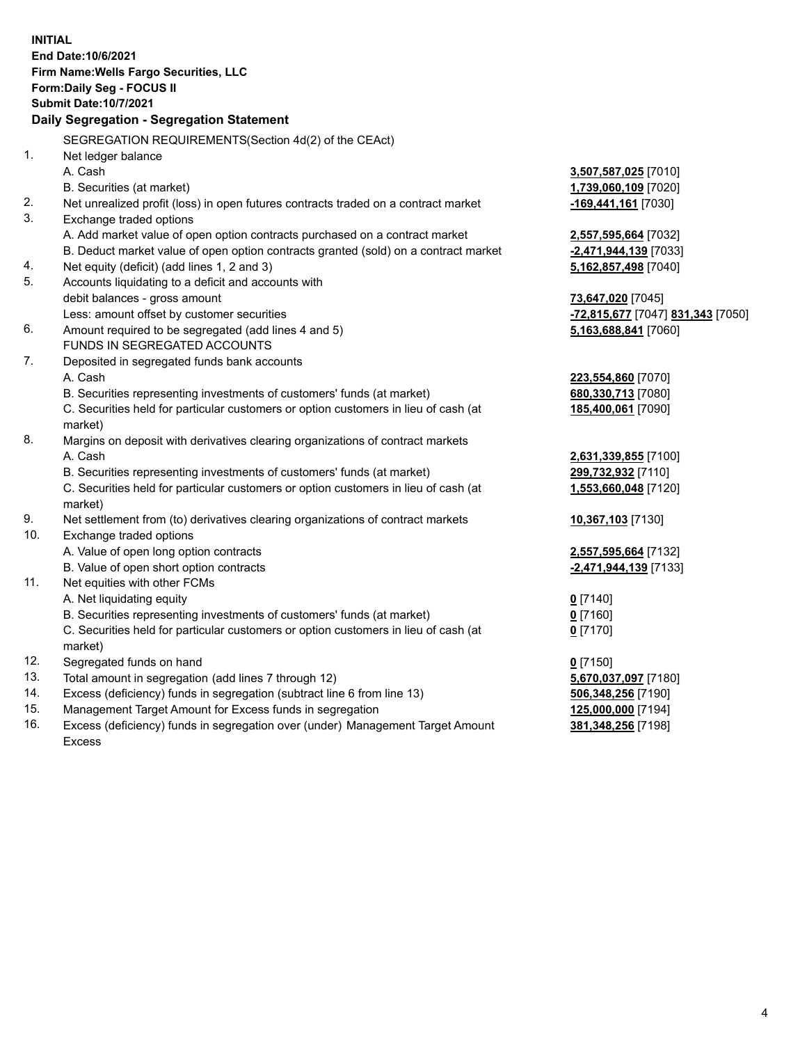**INITIAL End Date:10/6/2021 Firm Name:Wells Fargo Securities, LLC Form:Daily Seg - FOCUS II Submit Date:10/7/2021 Daily Segregation - Segregation Statement** SEGREGATION REQUIREMENTS(Section 4d(2) of the CEAct) 1. Net ledger balance A. Cash **3,507,587,025** [7010] B. Securities (at market) **1,739,060,109** [7020] 2. Net unrealized profit (loss) in open futures contracts traded on a contract market **-169,441,161** [7030] 3. Exchange traded options A. Add market value of open option contracts purchased on a contract market **2,557,595,664** [7032] B. Deduct market value of open option contracts granted (sold) on a contract market **-2,471,944,139** [7033] 4. Net equity (deficit) (add lines 1, 2 and 3) **5,162,857,498** [7040] 5. Accounts liquidating to a deficit and accounts with debit balances - gross amount **73,647,020** [7045] Less: amount offset by customer securities **-72,815,677** [7047] **831,343** [7050] 6. Amount required to be segregated (add lines 4 and 5) **5,163,688,841** [7060] FUNDS IN SEGREGATED ACCOUNTS 7. Deposited in segregated funds bank accounts A. Cash **223,554,860** [7070] B. Securities representing investments of customers' funds (at market) **680,330,713** [7080] C. Securities held for particular customers or option customers in lieu of cash (at market) **185,400,061** [7090] 8. Margins on deposit with derivatives clearing organizations of contract markets A. Cash **2,631,339,855** [7100] B. Securities representing investments of customers' funds (at market) **299,732,932** [7110] C. Securities held for particular customers or option customers in lieu of cash (at market) **1,553,660,048** [7120] 9. Net settlement from (to) derivatives clearing organizations of contract markets **10,367,103** [7130] 10. Exchange traded options A. Value of open long option contracts **2,557,595,664** [7132] B. Value of open short option contracts **-2,471,944,139** [7133] 11. Net equities with other FCMs A. Net liquidating equity **0** [7140] B. Securities representing investments of customers' funds (at market) **0** [7160] C. Securities held for particular customers or option customers in lieu of cash (at market) **0** [7170] 12. Segregated funds on hand **0** [7150] 13. Total amount in segregation (add lines 7 through 12) **5,670,037,097** [7180] 14. Excess (deficiency) funds in segregation (subtract line 6 from line 13) **506,348,256** [7190] 15. Management Target Amount for Excess funds in segregation **125,000,000** [7194] **381,348,256** [7198]

16. Excess (deficiency) funds in segregation over (under) Management Target Amount Excess